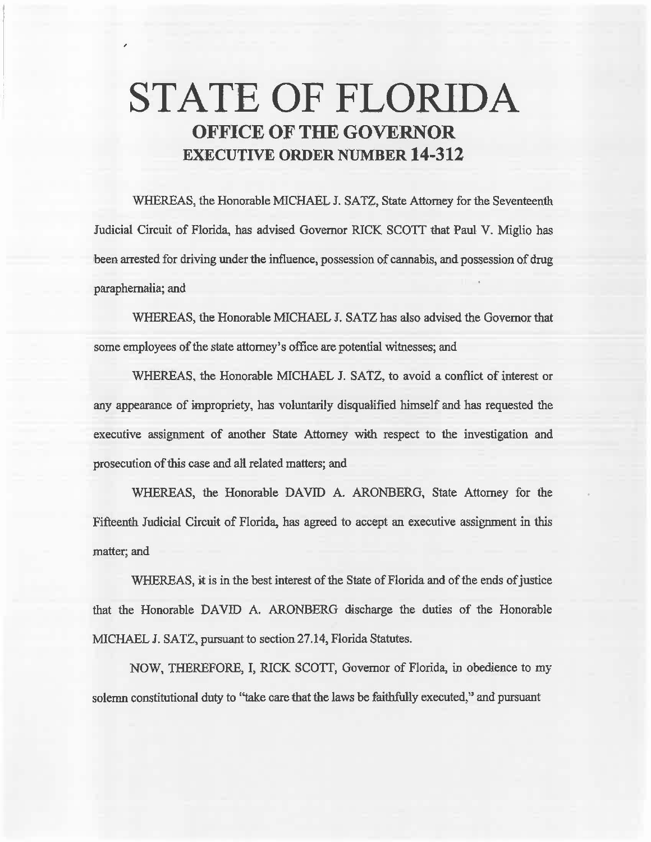# **STATE OF FLORIDA OFFICE OF THE GOVERNOR EXECUTIVE ORDER NUMBER 14-312**

,

WHEREAS, the Honorable MICHAEL J. SATZ, State Attorney for the Seventeenth Judicial Circuit of Florida, has advised Governor RICK SCOTT that Paul V. Miglio has been arrested for driving under the influence, possession of cannabis, and possession of drug paraphernalia; and

WHEREAS, the Honorable MICHAEL J. SATZ has also advised the Governor that some employees of the state attorney's office are potential witnesses; and

WHEREAS, the Honorable MICHAEL J. SATZ, to avoid a conflict of interest or any appearance of impropriety, has voluntarily disqualified himself and has requested the executive assignment of another State Attorney with respect to the investigation and prosecution of this case and all related matters; and

WHEREAS, the Honorable DAVID A. ARONBERG, State Attorney for the Fifteenth Judicial Circuit of Florida, has agreed to accept an executive assignment in this matter; and

WHEREAS, it is in the best interest of the State of Florida and of the ends of justice that the Honorable DAVID A. ARONBERG discharge the duties of the Honorable MICHAEL J. SATZ, pursuant to section 27 .14, Florida Statutes.

NOW, THEREFORE, I, RICK SCOTT, Governor of Florida, in obedience to my solemn constitutional duty to "take care that the laws be faithfully executed," and pursuant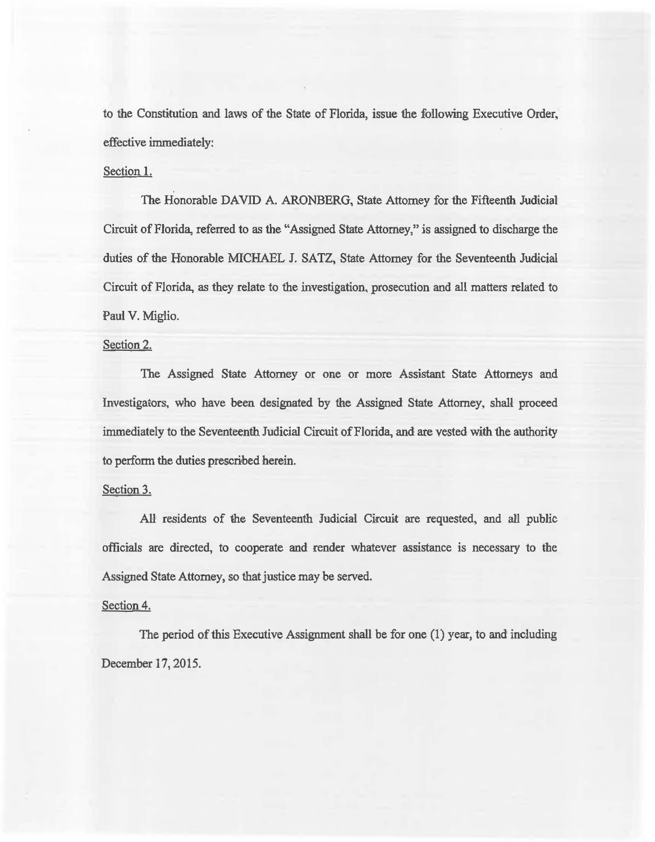to the Constitution and laws of the State of Florida, issue the following Executive Order, effective immediately:

## Section 1.

The Honorable DAVID A. ARONBERG, State Attorney for the Fifteenth Judicial Circuit of Florida, referred to *as* the "Assigned State Attorney," is assigned to discharge the duties of the Honorable MICHAEL J. SATZ, State Attorney for the Seventeenth Judicial Circuit of Florida, *as* they relate to the investigation, prosecution and all matters related to Paul V. Miglio.

#### Section 2.

The Assigned State Attorney or one or more Assistant State Attorneys and Investigators, who have been designated by the Assigned State Attorney, shall proceed immediately to the Seventeenth Judicial Circuit of Florida, and are vested with the authority to perfonn the duties prescribed herein.

### Section 3.

AU residents of the Seventeenth Judicial Circuit are requested, and a1l public officials are directed, to cooperate and render whatever assistance is necessary to the Assigned State Attorney, so that justice may be served.

#### Section 4.

The period of this Executive Assignment shall be for one (1) year, to and including December 17, 2015.